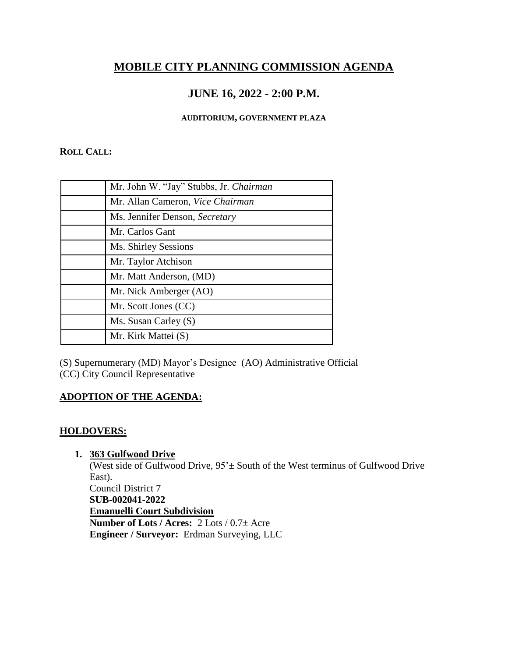# **MOBILE CITY PLANNING COMMISSION AGENDA**

# **JUNE 16, 2022 - 2:00 P.M.**

#### **AUDITORIUM, GOVERNMENT PLAZA**

#### **ROLL CALL:**

| Mr. John W. "Jay" Stubbs, Jr. Chairman |
|----------------------------------------|
| Mr. Allan Cameron, Vice Chairman       |
| Ms. Jennifer Denson, Secretary         |
| Mr. Carlos Gant                        |
| Ms. Shirley Sessions                   |
| Mr. Taylor Atchison                    |
| Mr. Matt Anderson, (MD)                |
| Mr. Nick Amberger (AO)                 |
| Mr. Scott Jones (CC)                   |
| Ms. Susan Carley (S)                   |
| Mr. Kirk Mattei (S)                    |

(S) Supernumerary (MD) Mayor's Designee (AO) Administrative Official (CC) City Council Representative

# **ADOPTION OF THE AGENDA:**

## **HOLDOVERS:**

## **1. 363 Gulfwood Drive**

(West side of Gulfwood Drive,  $95^{\circ}$  ± South of the West terminus of Gulfwood Drive East). Council District 7 **SUB-002041-2022 Emanuelli Court Subdivision Number of Lots / Acres:** 2 Lots / 0.7± Acre **Engineer / Surveyor:** Erdman Surveying, LLC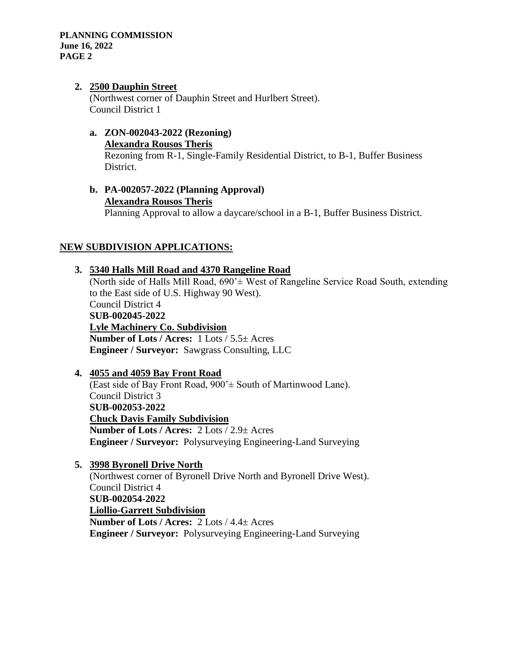#### **2. 2500 Dauphin Street**

(Northwest corner of Dauphin Street and Hurlbert Street). Council District 1

- **a. ZON-002043-2022 (Rezoning) Alexandra Rousos Theris** Rezoning from R-1, Single-Family Residential District, to B-1, Buffer Business District.
- **b. PA-002057-2022 (Planning Approval) Alexandra Rousos Theris** Planning Approval to allow a daycare/school in a B-1, Buffer Business District.

## **NEW SUBDIVISION APPLICATIONS:**

## **3. 5340 Halls Mill Road and 4370 Rangeline Road**

(North side of Halls Mill Road,  $690' \pm$  West of Rangeline Service Road South, extending to the East side of U.S. Highway 90 West). Council District 4 **SUB-002045-2022 Lyle Machinery Co. Subdivision Number of Lots / Acres:** 1 Lots / 5.5± Acres **Engineer / Surveyor:** Sawgrass Consulting, LLC

## **4. 4055 and 4059 Bay Front Road**

(East side of Bay Front Road, 900'± South of Martinwood Lane). Council District 3 **SUB-002053-2022 Chuck Davis Family Subdivision Number of Lots / Acres:** 2 Lots / 2.9± Acres **Engineer / Surveyor:** Polysurveying Engineering-Land Surveying

**5. 3998 Byronell Drive North** (Northwest corner of Byronell Drive North and Byronell Drive West). Council District 4 **SUB-002054-2022 Liollio-Garrett Subdivision Number of Lots / Acres:** 2 Lots / 4.4± Acres **Engineer / Surveyor:** Polysurveying Engineering-Land Surveying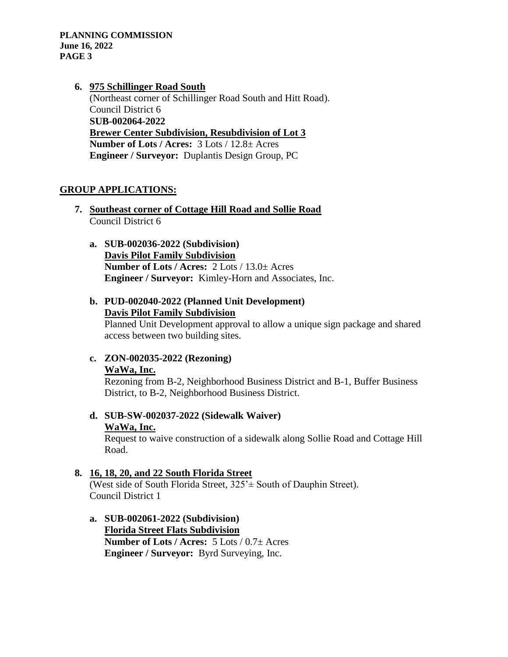### **6. 975 Schillinger Road South** (Northeast corner of Schillinger Road South and Hitt Road). Council District 6 **SUB-002064-2022 Brewer Center Subdivision, Resubdivision of Lot 3 Number of Lots / Acres:** 3 Lots / 12.8± Acres **Engineer / Surveyor:** Duplantis Design Group, PC

### **GROUP APPLICATIONS:**

- **7. Southeast corner of Cottage Hill Road and Sollie Road** Council District 6
	- **a. SUB-002036-2022 (Subdivision) Davis Pilot Family Subdivision Number of Lots / Acres:** 2 Lots / 13.0± Acres **Engineer / Surveyor:** Kimley-Horn and Associates, Inc.
	- **b. PUD-002040-2022 (Planned Unit Development) Davis Pilot Family Subdivision**

Planned Unit Development approval to allow a unique sign package and shared access between two building sites.

**c. ZON-002035-2022 (Rezoning) WaWa, Inc.** 

Rezoning from B-2, Neighborhood Business District and B-1, Buffer Business District, to B-2, Neighborhood Business District.

**d. SUB-SW-002037-2022 (Sidewalk Waiver) WaWa, Inc.**

Request to waive construction of a sidewalk along Sollie Road and Cottage Hill Road.

#### **8. 16, 18, 20, and 22 South Florida Street**

(West side of South Florida Street, 325'± South of Dauphin Street). Council District 1

**a. SUB-002061-2022 (Subdivision) Florida Street Flats Subdivision Number of Lots / Acres:** 5 Lots / 0.7± Acres **Engineer / Surveyor:** Byrd Surveying, Inc.